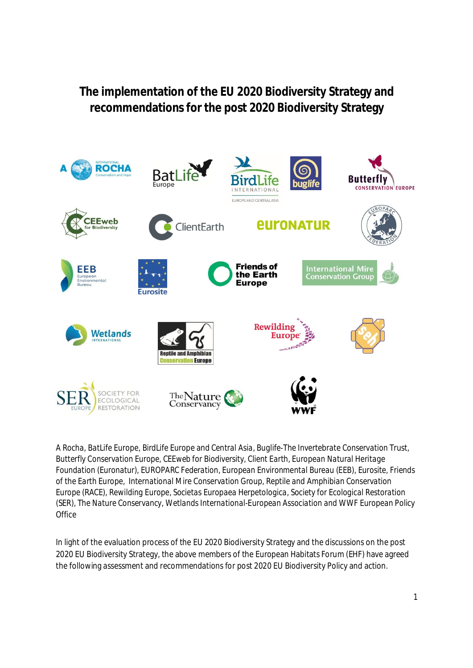# **The implementation of the EU 2020 Biodiversity Strategy and recommendations for the post 2020 Biodiversity Strategy**



*A Rocha, BatLife Europe, BirdLife Europe and Central Asia, Buglife-The Invertebrate Conservation Trust, Butterfly Conservation Europe, CEEweb for Biodiversity, Client Earth, European Natural Heritage Foundation (Euronatur), EUROPARC Federation, European Environmental Bureau (EEB), Eurosite, Friends of the Earth Europe, International Mire Conservation Group, Reptile and Amphibian Conservation Europe (RACE), Rewilding Europe, Societas Europaea Herpetologica, Society for Ecological Restoration (SER), The Nature Conservancy, Wetlands International-European Association and WWF European Policy Office*

In light of the evaluation process of the EU 2020 Biodiversity Strategy and the discussions on the post 2020 EU Biodiversity Strategy, the above members of the European Habitats Forum (EHF) have agreed the following assessment and recommendations for post 2020 EU Biodiversity Policy and action.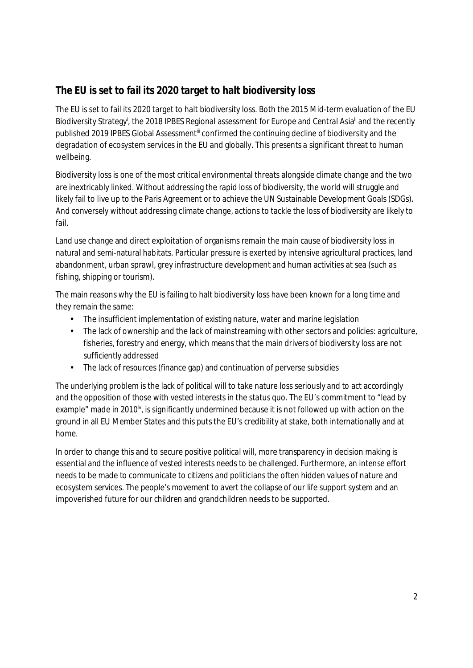## **The EU is set to fail its 2020 target to halt biodiversity loss**

The EU is set to fail its 2020 target to halt biodiversity loss. Both the 2015 Mid-term evaluation of the EU Biodiversity Strategy<sup>i</sup>, the 2018 IPBES Regional assessment for Europe and Central Asia<sup>ii</sup> and the recently published 2019 IPBES Global Assessment<sup>iii</sup> confirmed the continuing decline of biodiversity and the degradation of ecosystem services in the EU and globally. This presents a significant threat to human wellbeing.

Biodiversity loss is one of the most critical environmental threats alongside climate change and the two are inextricably linked. Without addressing the rapid loss of biodiversity, the world will struggle and likely fail to live up to the Paris Agreement or to achieve the UN Sustainable Development Goals (SDGs). And conversely without addressing climate change, actions to tackle the loss of biodiversity are likely to fail.

Land use change and direct exploitation of organisms remain the main cause of biodiversity loss in natural and semi-natural habitats. Particular pressure is exerted by intensive agricultural practices, land abandonment, urban sprawl, grey infrastructure development and human activities at sea (such as fishing, shipping or tourism).

The main reasons why the EU is failing to halt biodiversity loss have been known for a long time and they remain the same:

- The insufficient implementation of existing nature, water and marine legislation
- The lack of ownership and the lack of mainstreaming with other sectors and policies: agriculture,  $\mathbf{r}^{\prime}$ fisheries, forestry and energy, which means that the main drivers of biodiversity loss are not sufficiently addressed
- $\hat{\mathbf{r}}$ The lack of resources (finance gap) and continuation of perverse subsidies

The underlying problem is the lack of political will to take nature loss seriously and to act accordingly and the opposition of those with vested interests in the status quo. The EU's commitment to "lead by example" made in 2010 $\mu$ , is significantly undermined because it is not followed up with action on the ground in all EU Member States and this puts the EU's credibility at stake, both internationally and at home.

In order to change this and to secure positive political will, more transparency in decision making is essential and the influence of vested interests needs to be challenged. Furthermore, an intense effort needs to be made to communicate to citizens and politicians the often hidden values of nature and ecosystem services. The people's movement to avert the collapse of our life support system and an impoverished future for our children and grandchildren needs to be supported.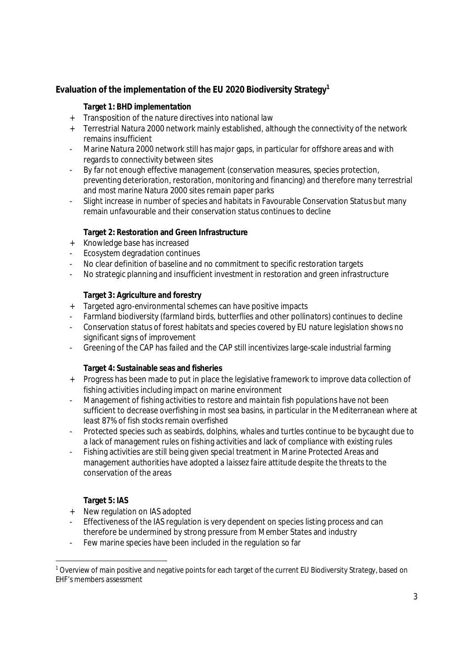**Evaluation of the implementation of the EU 2020 Biodiversity Strategy<sup>1</sup>**

**Target 1: BHD implementation**

- + Transposition of the nature directives into national law
- + Terrestrial Natura 2000 network mainly established, although the connectivity of the network remains insufficient
- Marine Natura 2000 network still has major gaps, in particular for offshore areas and with regards to connectivity between sites
- By far not enough effective management (conservation measures, species protection, preventing deterioration, restoration, monitoring and financing) and therefore many terrestrial and most marine Natura 2000 sites remain paper parks
- Slight increase in number of species and habitats in Favourable Conservation Status but many remain unfavourable and their conservation status continues to decline

**Target 2: Restoration and Green Infrastructure**

- + Knowledge base has increased
- Ecosystem degradation continues
- No clear definition of baseline and no commitment to specific restoration targets
- No strategic planning and insufficient investment in restoration and green infrastructure

**Target 3: Agriculture and forestry**

- + Targeted agro-environmental schemes can have positive impacts
- Farmland biodiversity (farmland birds, butterflies and other pollinators) continues to decline
- Conservation status of forest habitats and species covered by EU nature legislation shows no significant signs of improvement
- Greening of the CAP has failed and the CAP still incentivizes large-scale industrial farming

**Target 4: Sustainable seas and fisheries**

- + Progress has been made to put in place the legislative framework to improve data collection of fishing activities including impact on marine environment
- Management of fishing activities to restore and maintain fish populations have not been sufficient to decrease overfishing in most sea basins, in particular in the Mediterranean where at least 87% of fish stocks remain overfished
- Protected species such as seabirds, dolphins, whales and turtles continue to be bycaught due to a lack of management rules on fishing activities and lack of compliance with existing rules
- Fishing activities are still being given special treatment in Marine Protected Areas and management authorities have adopted a *laissez faire* attitude despite the threats to the conservation of the areas

**Target 5: IAS**

- + New regulation on IAS adopted
- Effectiveness of the IAS regulation is very dependent on species listing process and can therefore be undermined by strong pressure from Member States and industry
- Few marine species have been included in the regulation so far

 $^{\rm 1}$  Overview of main positive and negative points for each target of the current EU Biodiversity Strategy, based on EHF's members assessment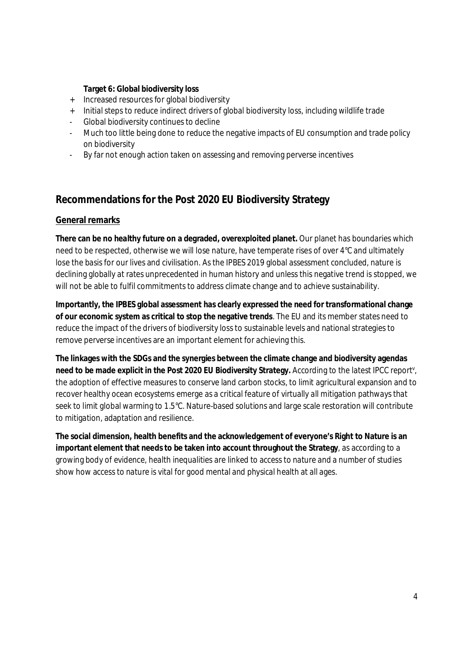**Target 6: Global biodiversity loss**

- + Increased resources for global biodiversity
- + Initial steps to reduce indirect drivers of global biodiversity loss, including wildlife trade
- Global biodiversity continues to decline
- Much too little being done to reduce the negative impacts of EU consumption and trade policy on biodiversity
- By far not enough action taken on assessing and removing perverse incentives

## **Recommendations for the Post 2020 EU Biodiversity Strategy**

### **General remarks**

**There can be no healthy future on a degraded, overexploited planet.** Our planet has boundaries which need to be respected, otherwise we will lose nature, have temperate rises of over 4°C and ultimately lose the basis for our lives and civilisation. As the IPBES 2019 global assessment concluded, nature is declining globally at rates unprecedented in human history and unless this negative trend is stopped, we will not be able to fulfil commitments to address climate change and to achieve sustainability.

**Importantly, the IPBES global assessment has clearly expressed the need for transformational change of our economic system as critical to stop the negative trends**. The EU and its member states need to reduce the impact of the drivers of biodiversity loss to sustainable levels and national strategies to remove perverse incentives are an important element for achieving this.

**The linkages with the SDGs and the synergies between the climate change and biodiversity agendas need to be made explicit in the Post 2020 EU Biodiversity Strategy.** According to the latest IPCC report<sup>v</sup> , the adoption of effective measures to conserve land carbon stocks, to limit agricultural expansion and to recover healthy ocean ecosystems emerge as a critical feature of virtually all mitigation pathways that seek to limit global warming to 1.5°C. Nature-based solutions and large scale restoration will contribute to mitigation, adaptation and resilience.

**The social dimension, health benefits and the acknowledgement of everyone's Right to Nature is an important element that needs to be taken into account throughout the Strategy**, as according to a growing body of evidence, health inequalities are linked to access to nature and a number of studies show how access to nature is vital for good mental and physical health at all ages.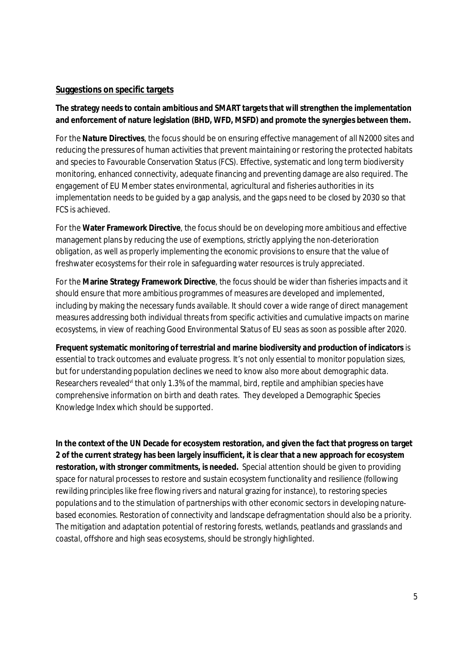#### **Suggestions on specific targets**

**The strategy needs to contain ambitious and SMART targets that will strengthen the implementation and enforcement of nature legislation (BHD, WFD, MSFD) and promote the synergies between them.**

For the **Nature Directives**, the focus should be on ensuring effective management of all N2000 sites and reducing the pressures of human activities that prevent maintaining or restoring the protected habitats and species to Favourable Conservation Status (FCS). Effective, systematic and long term biodiversity monitoring, enhanced connectivity, adequate financing and preventing damage are also required. The engagement of EU Member states environmental, agricultural and fisheries authorities in its implementation needs to be guided by a gap analysis, and the gaps need to be closed by 2030 so that FCS is achieved.

For the **Water Framework Directive**, the focus should be on developing more ambitious and effective management plans by reducing the use of exemptions, strictly applying the non-deterioration obligation, as well as properly implementing the economic provisions to ensure that the value of freshwater ecosystems for their role in safeguarding water resources is truly appreciated.

For the **Marine Strategy Framework Directive**, the focus should be wider than fisheries impacts and it should ensure that more ambitious programmes of measures are developed and implemented, including by making the necessary funds available. It should cover a wide range of direct management measures addressing both individual threats from specific activities and cumulative impacts on marine ecosystems, in view of reaching Good Environmental Status of EU seas as soon as possible after 2020.

**Frequent systematic monitoring of terrestrial and marine biodiversity and production of indicators** is essential to track outcomes and evaluate progress. It's not only essential to monitor population sizes, but for understanding population declines we need to know also more about demographic data. Researchers revealed<sup>vi</sup> that only 1.3% of the mammal, bird, reptile and amphibian species have comprehensive information on birth and death rates. They developed a Demographic Species Knowledge Index which should be supported.

**In the context of the UN Decade for ecosystem restoration, and given the fact that progress on target 2 of the current strategy has been largely insufficient, it is clear that a new approach for ecosystem restoration, with stronger commitments, is needed.** Special attention should be given to providing space for natural processes to restore and sustain ecosystem functionality and resilience (following rewilding principles like free flowing rivers and natural grazing for instance), to restoring species populations and to the stimulation of partnerships with other economic sectors in developing naturebased economies. Restoration of connectivity and landscape defragmentation should also be a priority. The mitigation and adaptation potential of restoring forests, wetlands, peatlands and grasslands and coastal, offshore and high seas ecosystems, should be strongly highlighted.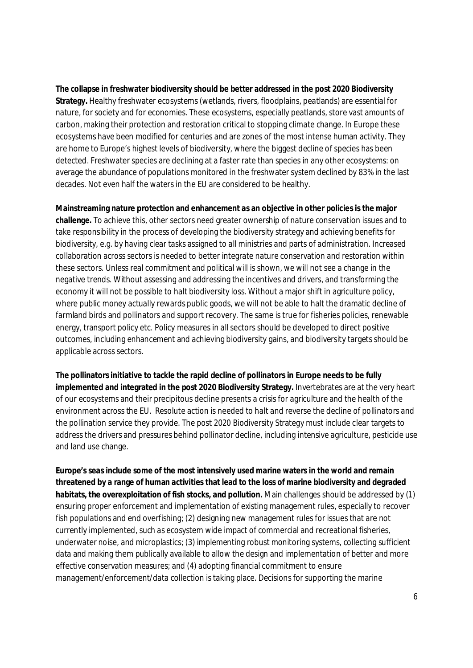**The collapse in freshwater biodiversity should be better addressed in the post 2020 Biodiversity Strategy.** Healthy freshwater ecosystems (wetlands, rivers, floodplains, peatlands) are essential for nature, for society and for economies. These ecosystems, especially peatlands, store vast amounts of carbon, making their protection and restoration critical to stopping climate change. In Europe these ecosystems have been modified for centuries and are zones of the most intense human activity. They are home to Europe's highest levels of biodiversity, where the biggest decline of species has been detected. Freshwater species are declining at a faster rate than species in any other ecosystems: on average the abundance of populations monitored in the freshwater system declined by 83% in the last decades. Not even half the waters in the EU are considered to be healthy.

**Mainstreaming nature protection and enhancement as an objective in other policies is the major challenge.** To achieve this, other sectors need greater ownership of nature conservation issues and to take responsibility in the process of developing the biodiversity strategy and achieving benefits for biodiversity, e.g. by having clear tasks assigned to all ministries and parts of administration. Increased collaboration across sectors is needed to better integrate nature conservation and restoration within these sectors. Unless real commitment and political will is shown, we will not see a change in the negative trends. Without assessing and addressing the incentives and drivers, and transforming the economy it will not be possible to halt biodiversity loss. Without a major shift in agriculture policy, where public money actually rewards public goods, we will not be able to halt the dramatic decline of farmland birds and pollinators and support recovery. The same is true for fisheries policies, renewable energy, transport policy etc. Policy measures in all sectors should be developed to direct positive outcomes, including enhancement and achieving biodiversity gains, and biodiversity targets should be applicable across sectors.

**The pollinators initiative to tackle the rapid decline of pollinators in Europe needs to be fully implemented and integrated in the post 2020 Biodiversity Strategy.** Invertebrates are at the very heart of our ecosystems and their precipitous decline presents a crisis for agriculture and the health of the environment across the EU. Resolute action is needed to halt and reverse the decline of pollinators and the pollination service they provide. The post 2020 Biodiversity Strategy must include clear targets to address the drivers and pressures behind pollinator decline, including intensive agriculture, pesticide use and land use change.

**Europe's seas include some of the most intensively used marine waters in the world and remain threatened by a range of human activities that lead to the loss of marine biodiversity and degraded habitats, the overexploitation of fish stocks, and pollution.** Main challenges should be addressed by (1) ensuring proper enforcement and implementation of existing management rules, especially to recover fish populations and end overfishing; (2) designing new management rules for issues that are not currently implemented, such as ecosystem wide impact of commercial and recreational fisheries, underwater noise, and microplastics; (3) implementing robust monitoring systems, collecting sufficient data and making them publically available to allow the design and implementation of better and more effective conservation measures; and (4) adopting financial commitment to ensure management/enforcement/data collection is taking place. Decisions for supporting the marine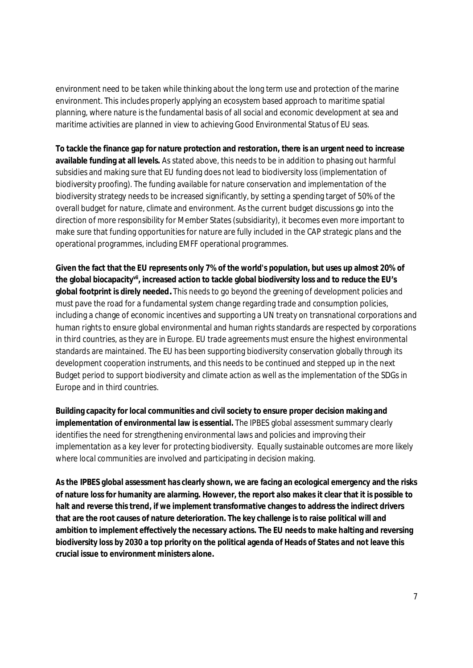environment need to be taken while thinking about the long term use and protection of the marine environment. This includes properly applying an ecosystem based approach to maritime spatial planning, where nature is the fundamental basis of all social and economic development at sea and maritime activities are planned in view to achieving Good Environmental Status of EU seas.

**To tackle the finance gap for nature protection and restoration, there is an urgent need to increase available funding at all levels.** As stated above, this needs to be in addition to phasing out harmful subsidies and making sure that EU funding does not lead to biodiversity loss (implementation of biodiversity proofing). The funding available for nature conservation and implementation of the biodiversity strategy needs to be increased significantly, by setting a spending target of 50% of the overall budget for nature, climate and environment. As the current budget discussions go into the direction of more responsibility for Member States (subsidiarity), it becomes even more important to make sure that funding opportunities for nature are fully included in the CAP strategic plans and the operational programmes, including EMFF operational programmes.

**Given the fact that the EU represents only 7% of the world's population, but uses up almost 20% of the global biocapacityvii, increased action to tackle global biodiversity loss and to reduce the EU's global footprint is direly needed***.* This needs to go beyond the greening of development policies and must pave the road for a fundamental system change regarding trade and consumption policies, including a change of economic incentives and supporting a UN treaty on transnational corporations and human rights to ensure global environmental and human rights standards are respected by corporations in third countries, as they are in Europe. EU trade agreements must ensure the highest environmental standards are maintained. The EU has been supporting biodiversity conservation globally through its development cooperation instruments, and this needs to be continued and stepped up in the next Budget period to support biodiversity and climate action as well as the implementation of the SDGs in Europe and in third countries.

**Building capacity for local communities and civil society to ensure proper decision making and implementation of environmental law is essential.** The IPBES global assessment summary clearly identifies the need for strengthening environmental laws and policies and improving their implementation as a key lever for protecting biodiversity. Equally sustainable outcomes are more likely where local communities are involved and participating in decision making.

**As the IPBES global assessment has clearly shown, we are facing an ecological emergency and the risks of nature loss for humanity are alarming. However, the report also makes it clear that it is possible to halt and reverse this trend, if we implement transformative changes to address the indirect drivers that are the root causes of nature deterioration. The key challenge is to raise political will and ambition to implement effectively the necessary actions. The EU needs to make halting and reversing biodiversity loss by 2030 a top priority on the political agenda of Heads of States and not leave this crucial issue to environment ministers alone.**